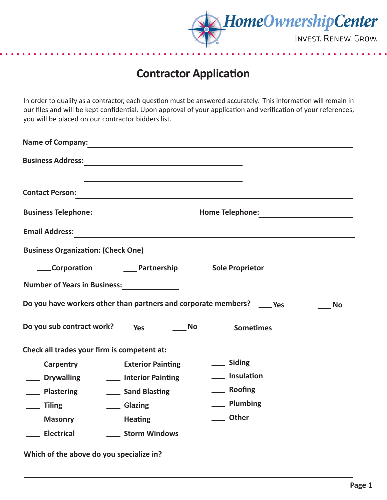

## **Contractor Application**

In order to qualify as a contractor, each question must be answered accurately. This information will remain in our files and will be kept confidential. Upon approval of your application and verification of your references, you will be placed on our contractor bidders list.

| <b>Name of Company:</b>                                                               |                                                            |                        |  |  |  |  |
|---------------------------------------------------------------------------------------|------------------------------------------------------------|------------------------|--|--|--|--|
|                                                                                       |                                                            |                        |  |  |  |  |
| <b>Contact Person:</b>                                                                |                                                            |                        |  |  |  |  |
| <b>Business Telephone:</b>                                                            |                                                            | <b>Home Telephone:</b> |  |  |  |  |
| <b>Email Address:</b>                                                                 |                                                            |                        |  |  |  |  |
| <b>Business Organization: (Check One)</b>                                             |                                                            |                        |  |  |  |  |
|                                                                                       | Corporation Cartnership Cole Proprietor                    |                        |  |  |  |  |
|                                                                                       |                                                            |                        |  |  |  |  |
| Do you have workers other than partners and corporate members? _____ Yes<br><b>No</b> |                                                            |                        |  |  |  |  |
|                                                                                       |                                                            |                        |  |  |  |  |
| Check all trades your firm is competent at:                                           |                                                            |                        |  |  |  |  |
|                                                                                       | Carpentry <b>Carpentry Carpentry Let</b> Exterior Painting | __ Siding              |  |  |  |  |
|                                                                                       | <b>Notainanalling CO</b> Interior Painting                 | ___ Insulation         |  |  |  |  |
| <b>Nastering</b>                                                                      | ___ Sand Blasting                                          | ____ Roofing           |  |  |  |  |
| __ Tiling                                                                             | __ Glazing                                                 | __ Plumbing            |  |  |  |  |
| <b>Example 20 Masonry</b>                                                             | ____ Heating                                               | Other                  |  |  |  |  |
| ___ Electrical                                                                        | ___ Storm Windows                                          |                        |  |  |  |  |
| Which of the above do you specialize in?                                              |                                                            |                        |  |  |  |  |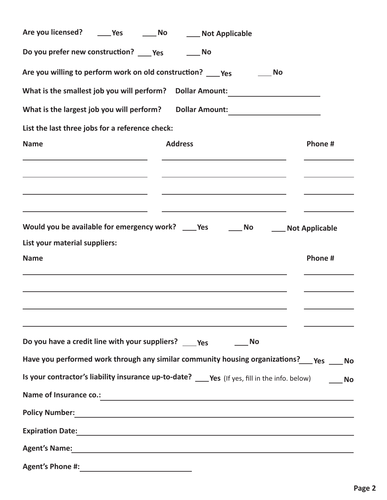| Are you licensed? ______ Yes                                                                                                                                                                                                          | $\_\_$ No | ____ Not Applicable                                                                                                  |                                                   |         |  |
|---------------------------------------------------------------------------------------------------------------------------------------------------------------------------------------------------------------------------------------|-----------|----------------------------------------------------------------------------------------------------------------------|---------------------------------------------------|---------|--|
| Do you prefer new construction? _____ Yes __________ No                                                                                                                                                                               |           |                                                                                                                      |                                                   |         |  |
| Are you willing to perform work on old construction? ____ Yes                                                                                                                                                                         |           |                                                                                                                      | <b>No</b>                                         |         |  |
| What is the smallest job you will perform?                                                                                                                                                                                            |           | <b>Dollar Amount:</b>                                                                                                |                                                   |         |  |
| What is the largest job you will perform?                                                                                                                                                                                             |           | <b>Dollar Amount:</b>                                                                                                | <u> 1989 - Andrea State Barbara, politik a po</u> |         |  |
| List the last three jobs for a reference check:                                                                                                                                                                                       |           |                                                                                                                      |                                                   |         |  |
| <b>Name</b>                                                                                                                                                                                                                           |           | <b>Address</b>                                                                                                       |                                                   | Phone # |  |
|                                                                                                                                                                                                                                       |           |                                                                                                                      |                                                   |         |  |
| <u> 1989 - Johann Stein, marwolaethau a bhann an t-Amhair an t-Amhair an t-Amhair an t-Amhair an t-Amhair an t-A</u>                                                                                                                  |           | <u> 1989 - Johann Stein, marwolaethau a bhann an t-Amhair an t-Amhair an t-Amhair an t-Amhair an t-Amhair an t-A</u> |                                                   |         |  |
| <u> 1989 - Johann Barn, amerikansk politiker (d. 1989)</u>                                                                                                                                                                            |           | <u> 1989 - Andrea Stadt Britain, amerikansk politik (* 1958)</u>                                                     |                                                   |         |  |
| Would you be available for emergency work? ____ Yes _______ No ______ Not Applicable                                                                                                                                                  |           |                                                                                                                      |                                                   |         |  |
| List your material suppliers:                                                                                                                                                                                                         |           |                                                                                                                      |                                                   |         |  |
| <b>Name</b>                                                                                                                                                                                                                           |           |                                                                                                                      |                                                   | Phone # |  |
|                                                                                                                                                                                                                                       |           |                                                                                                                      |                                                   |         |  |
|                                                                                                                                                                                                                                       |           |                                                                                                                      |                                                   |         |  |
|                                                                                                                                                                                                                                       |           |                                                                                                                      |                                                   |         |  |
| Do you have a credit line with your suppliers? ____ Yes _____                                                                                                                                                                         |           |                                                                                                                      | <b>No</b>                                         |         |  |
| Have you performed work through any similar community housing organizations? __ Yes __ No                                                                                                                                             |           |                                                                                                                      |                                                   |         |  |
| Is your contractor's liability insurance up-to-date? ____ Yes (If yes, fill in the info. below) _____ No                                                                                                                              |           |                                                                                                                      |                                                   |         |  |
| Name of Insurance co.:<br><u> and</u> the contract of the contract of the contract of the contract of the contract of the contract of the contract of the contract of the contract of the contract of the contract of the contract of |           |                                                                                                                      |                                                   |         |  |
| Policy Number: Name of the Contract of the Contract of the Contract of the Contract of the Contract of the Contract of the Contract of the Contract of the Contract of the Contract of the Contract of the Contract of the Con        |           |                                                                                                                      |                                                   |         |  |
|                                                                                                                                                                                                                                       |           |                                                                                                                      |                                                   |         |  |
| Agent's Name: Note: 2008 and 2008 and 2008 and 2008 and 2008 and 2008 and 2008 and 2008 and 2008 and 2008 and 2008 and 2008 and 2008 and 2008 and 2008 and 2008 and 2008 and 2008 and 2008 and 2008 and 2008 and 2008 and 2008        |           |                                                                                                                      |                                                   |         |  |
|                                                                                                                                                                                                                                       |           |                                                                                                                      |                                                   |         |  |